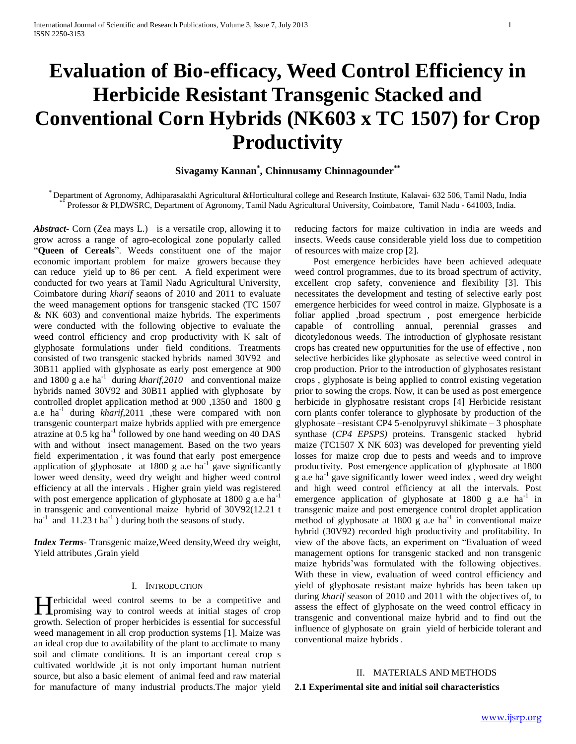# **Evaluation of Bio-efficacy, Weed Control Efficiency in Herbicide Resistant Transgenic Stacked and Conventional Corn Hybrids (NK603 x TC 1507) for Crop Productivity**

# **Sivagamy Kannan\* , Chinnusamy Chinnagounder\*\***

\* Department of Agronomy, Adhiparasakthi Agricultural &Horticultural college and Research Institute, Kalavai- 632 506, Tamil Nadu, India Professor & PI,DWSRC, Department of Agronomy, Tamil Nadu Agricultural University, Coimbatore, Tamil Nadu - 641003, India.

*Abstract***-** Corn (Zea mays L.) is a versatile crop, allowing it to grow across a range of agro-ecological zone popularly called ―**Queen of Cereals**‖. Weeds constituent one of the major economic important problem for maize growers because they can reduce yield up to 86 per cent. A field experiment were conducted for two years at Tamil Nadu Agricultural University, Coimbatore during *kharif* seaons of 2010 and 2011 to evaluate the weed management options for transgenic stacked (TC 1507 & NK 603) and conventional maize hybrids. The experiments were conducted with the following objective to evaluate the weed control efficiency and crop productivity with K salt of glyphosate formulations under field conditions. Treatments consisted of two transgenic stacked hybrids named 30V92 and 30B11 applied with glyphosate as early post emergence at 900 and 1800 g a.e ha<sup>-1</sup> during *kharif*, 2010 and conventional maize hybrids named 30V92 and 30B11 applied with glyphosate by controlled droplet application method at 900 ,1350 and 1800 g a.e ha<sup>-1</sup> during *kharif*,2011 ,these were compared with non transgenic counterpart maize hybrids applied with pre emergence atrazine at 0.5 kg ha<sup>-1</sup> followed by one hand weeding on 40 DAS with and without insect management. Based on the two years field experimentation , it was found that early post emergence application of glyphosate at 1800 g a.e ha<sup>-1</sup> gave significantly lower weed density, weed dry weight and higher weed control efficiency at all the intervals . Higher grain yield was registered with post emergence application of glyphosate at 1800 g a.e ha<sup>-1</sup> in transgenic and conventional maize hybrid of 30V92(12.21 t ha<sup>-1</sup> and 11.23 t ha<sup>-1</sup>) during both the seasons of study.

*Index Terms*- Transgenic maize,Weed density,Weed dry weight, Yield attributes ,Grain yield

## I. INTRODUCTION

Terbicidal weed control seems to be a competitive and Herbicidal weed control seems to be a competitive and promising way to control weeds at initial stages of crop growth. Selection of proper herbicides is essential for successful weed management in all crop production systems [1]. Maize was an ideal crop due to availability of the plant to acclimate to many soil and climate conditions. It is an important cereal crop s cultivated worldwide ,it is not only important human nutrient source, but also a basic element of animal feed and raw material for manufacture of many industrial products.The major yield

reducing factors for maize cultivation in india are weeds and insects. Weeds cause considerable yield loss due to competition of resources with maize crop [2].

 Post emergence herbicides have been achieved adequate weed control programmes, due to its broad spectrum of activity, excellent crop safety, convenience and flexibility [3]. This necessitates the development and testing of selective early post emergence herbicides for weed control in maize. Glyphosate is a foliar applied ,broad spectrum , post emergence herbicide capable of controlling annual, perennial grasses and dicotyledonous weeds. The introduction of glyphosate resistant crops has created new oppurtunities for the use of effective , non selective herbicides like glyphosate as selective weed control in crop production. Prior to the introduction of glyphosates resistant crops , glyphosate is being applied to control existing vegetation prior to sowing the crops. Now, it can be used as post emergence herbicide in glyphosatre resistant crops [4] Herbicide resistant corn plants confer tolerance to glyphosate by production of the glyphosate –resistant CP4 5-enolpyruvyl shikimate – 3 phosphate synthase (*CP4 EPSPS)* proteins. Transgenic stacked hybrid maize (TC1507 X NK 603) was developed for preventing yield losses for maize crop due to pests and weeds and to improve productivity. Post emergence application of glyphosate at 1800  $\mathbf{g}$  a.e ha<sup>-1</sup> gave significantly lower weed index, weed dry weight and high weed control efficiency at all the intervals. Post emergence application of glyphosate at  $1800 \text{ g}$  a.e ha<sup>-1</sup> in transgenic maize and post emergence control droplet application method of glyphosate at  $1800 \text{ g}$  a.e ha<sup>-1</sup> in conventional maize hybrid (30V92) recorded high productivity and profitability. In view of the above facts, an experiment on "Evaluation of weed management options for transgenic stacked and non transgenic maize hybrids'was formulated with the following objectives. With these in view, evaluation of weed control efficiency and yield of glyphosate resistant maize hybrids has been taken up during *kharif* season of 2010 and 2011 with the objectives of, to assess the effect of glyphosate on the weed control efficacy in transgenic and conventional maize hybrid and to find out the influence of glyphosate on grain yield of herbicide tolerant and conventional maize hybrids .

# II. MATERIALS AND METHODS **2.1 Experimental site and initial soil characteristics**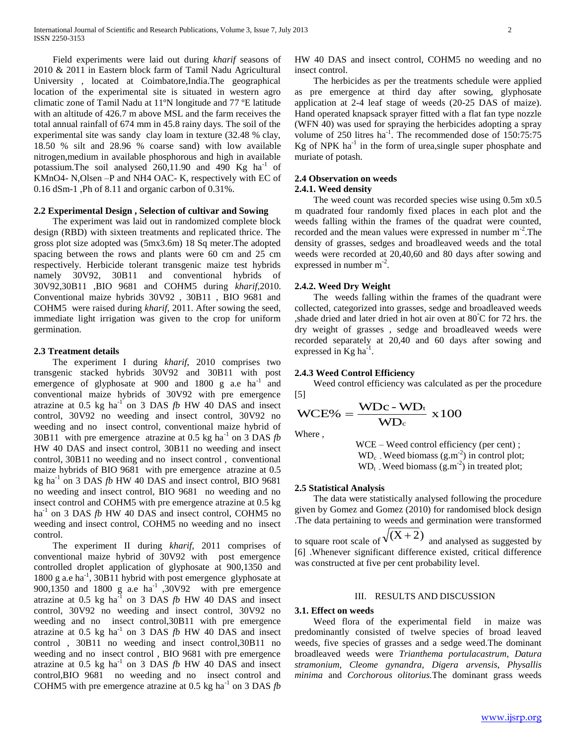Field experiments were laid out during *kharif* seasons of 2010 & 2011 in Eastern block farm of Tamil Nadu Agricultural University , located at Coimbatore,India.The geographical location of the experimental site is situated in western agro climatic zone of Tamil Nadu at 11ºN longitude and 77 ºE latitude with an altitude of 426.7 m above MSL and the farm receives the total annual rainfall of 674 mm in 45.8 rainy days. The soil of the experimental site was sandy clay loam in texture (32.48 % clay, 18.50 % silt and 28.96 % coarse sand) with low available nitrogen,medium in available phosphorous and high in available potassium. The soil analysed  $260,11.90$  and  $490$  Kg ha<sup>-1</sup> of KMnO4- N,Olsen –P and NH4 OAC- K, respectively with EC of 0.16 dSm-1 ,Ph of 8.11 and organic carbon of 0.31%.

## **2.2 Experimental Design , Selection of cultivar and Sowing**

 The experiment was laid out in randomized complete block design (RBD) with sixteen treatments and replicated thrice. The gross plot size adopted was (5mx3.6m) 18 Sq meter.The adopted spacing between the rows and plants were 60 cm and 25 cm respectively. Herbicide tolerant transgenic maize test hybrids namely 30V92, 30B11 and conventional hybrids of 30V92,30B11 ,BIO 9681 and COHM5 during *kharif*,2010. Conventional maize hybrids 30V92 , 30B11 , BIO 9681 and COHM5 were raised during *kharif*, 2011. After sowing the seed, immediate light irrigation was given to the crop for uniform germination.

#### **2.3 Treatment details**

 The experiment I during *kharif*, 2010 comprises two transgenic stacked hybrids 30V92 and 30B11 with post emergence of glyphosate at 900 and 1800 g a.e  $ha^{-1}$  and conventional maize hybrids of 30V92 with pre emergence atrazine at 0.5 kg ha<sup>-1</sup> on 3 DAS  $fb$  HW 40 DAS and insect control, 30V92 no weeding and insect control, 30V92 no weeding and no insect control, conventional maize hybrid of 30B11 with pre emergence atrazine at 0.5 kg ha<sup>-1</sup> on 3 DAS  $fb$ HW 40 DAS and insect control, 30B11 no weeding and insect control, 30B11 no weeding and no insect control , conventional maize hybrids of BIO 9681 with pre emergence atrazine at 0.5 kg ha<sup>-1</sup> on 3 DAS  $fb$  HW 40 DAS and insect control, BIO 9681 no weeding and insect control, BIO 9681 no weeding and no insect control and COHM5 with pre emergence atrazine at 0.5 kg ha<sup>-1</sup> on 3 DAS *fb* HW 40 DAS and insect control, COHM5 no weeding and insect control, COHM5 no weeding and no insect control.

 The experiment II during *kharif*, 2011 comprises of conventional maize hybrid of 30V92 with post emergence controlled droplet application of glyphosate at 900,1350 and 1800 g a.e ha<sup>-1</sup>, 30B11 hybrid with post emergence glyphosate at 900,1350 and 1800 g a.e ha<sup>-1</sup> ,30V92 with pre emergence atrazine at 0.5 kg ha<sup>-1</sup> on 3 DAS  $fb$  HW 40 DAS and insect control, 30V92 no weeding and insect control, 30V92 no weeding and no insect control,30B11 with pre emergence atrazine at  $0.5$  kg ha<sup>-1</sup> on 3 DAS  $fb$  HW 40 DAS and insect control , 30B11 no weeding and insect control,30B11 no weeding and no insect control , BIO 9681 with pre emergence atrazine at  $0.5$  kg ha<sup>-1</sup> on 3 DAS  $fb$  HW 40 DAS and insect control,BIO 9681 no weeding and no insect control and COHM5 with pre emergence atrazine at  $0.5$  kg ha<sup>-1</sup> on 3 DAS  $fb$ 

HW 40 DAS and insect control, COHM5 no weeding and no insect control.

 The herbicides as per the treatments schedule were applied as pre emergence at third day after sowing, glyphosate application at 2-4 leaf stage of weeds (20-25 DAS of maize). Hand operated knapsack sprayer fitted with a flat fan type nozzle (WFN 40) was used for spraying the herbicides adopting a spray volume of 250 litres ha<sup>-1</sup>. The recommended dose of  $150:75:75$  $Kg$  of NPK ha<sup>-1</sup> in the form of urea, single super phosphate and muriate of potash.

## **2.4 Observation on weeds**

### **2.4.1. Weed density**

 The weed count was recorded species wise using 0.5m x0.5 m quadrated four randomly fixed places in each plot and the weeds falling within the frames of the quadrat were counted, recorded and the mean values were expressed in number m<sup>-2</sup>. The density of grasses, sedges and broadleaved weeds and the total weeds were recorded at 20,40,60 and 80 days after sowing and expressed in number  $m<sup>-2</sup>$ .

#### **2.4.2. Weed Dry Weight**

 The weeds falling within the frames of the quadrant were collected, categorized into grasses, sedge and broadleaved weeds , shade dried and later dried in hot air oven at  $80^{\circ}$ C for 72 hrs. the dry weight of grasses , sedge and broadleaved weeds were recorded separately at 20,40 and 60 days after sowing and expressed in  $\text{Kg}$  ha<sup>-1</sup>.

#### **2.4.3 Weed Control Efficiency**

 Weed control efficiency was calculated as per the procedure [5]

$$
WCE\% = \frac{WDc - WD_t}{WD_c} \times 100
$$

Where ,

 WCE – Weed control efficiency (per cent) ;  $WD_c$ . Weed biomass  $(g.m<sup>-2</sup>)$  in control plot;  $WD_t$ . Weed biomass  $(g.m^{-2})$  in treated plot;

#### **2.5 Statistical Analysis**

 The data were statistically analysed following the procedure given by Gomez and Gomez (2010) for randomised block design .The data pertaining to weeds and germination were transformed to square root scale of  $\sqrt{(X+2)}$  and analysed as suggested by

[6] .Whenever significant difference existed, critical difference was constructed at five per cent probability level.

## III. RESULTS AND DISCUSSION

## **3.1. Effect on weeds**

 Weed flora of the experimental field in maize was predominantly consisted of twelve species of broad leaved weeds, five species of grasses and a sedge weed.The dominant broadleaved weeds were *Trianthema portulacastrum*, *Datura stramonium, Cleome gynandra, Digera arvensis*, *Physallis minima* and *Corchorous olitorius.*The dominant grass weeds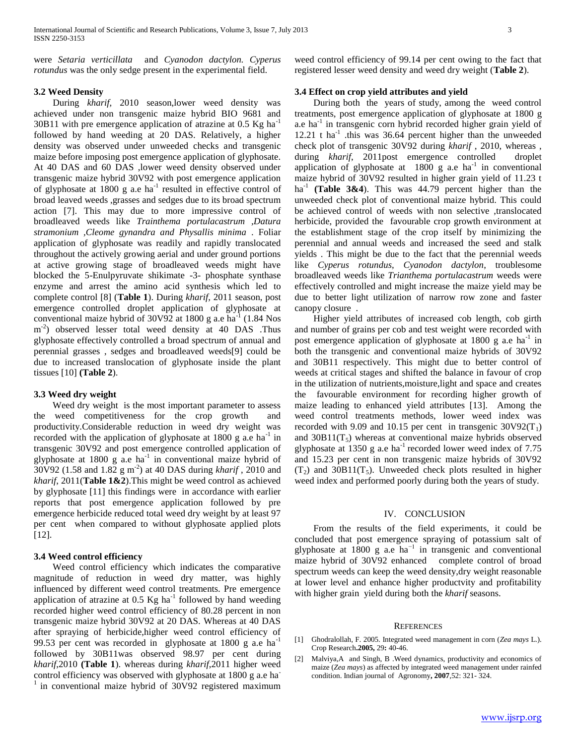were *Setaria verticillata* and *Cyanodon dactylon. Cyperus rotundus* was the only sedge present in the experimental field.

### **3.2 Weed Density**

 During *kharif,* 2010 season,lower weed density was achieved under non transgenic maize hybrid BIO 9681 and  $30B11$  with pre emergence application of atrazine at 0.5 Kg ha<sup>-1</sup> followed by hand weeding at 20 DAS. Relatively, a higher density was observed under unweeded checks and transgenic maize before imposing post emergence application of glyphosate. At 40 DAS and 60 DAS ,lower weed density observed under transgenic maize hybrid 30V92 with post emergence application of glyphosate at 1800 g a.e ha<sup>-1</sup> resulted in effective control of broad leaved weeds ,grasses and sedges due to its broad spectrum action [7]. This may due to more impressive control of broadleaved weeds like *Trainthema portulacastrum ,Datura stramonium ,Cleome gynandra and Physallis minima* . Foliar application of glyphosate was readily and rapidly translocated throughout the actively growing aerial and under ground portions at active growing stage of broadleaved weeds might have blocked the 5-Enulpyruvate shikimate -3- phosphate synthase enzyme and arrest the amino acid synthesis which led to complete control [8] (**Table 1**). During *kharif,* 2011 season, post emergence controlled droplet application of glyphosate at conventional maize hybrid of  $30\sqrt{92}$  at  $1800$  g a.e ha<sup>-1</sup> (1.84 Nos m<sup>-2</sup>) observed lesser total weed density at 40 DAS .Thus glyphosate effectively controlled a broad spectrum of annual and perennial grasses , sedges and broadleaved weeds[9] could be due to increased translocation of glyphosate inside the plant tissues [10] **(Table 2**).

## **3.3 Weed dry weight**

 Weed dry weight is the most important parameter to assess the weed competitiveness for the crop growth and productivity.Considerable reduction in weed dry weight was recorded with the application of glyphosate at  $1800 \text{ g}$  a.e ha<sup>-1</sup> in transgenic 30V92 and post emergence controlled application of glyphosate at 1800 g a.e ha<sup>-1</sup> in conventional maize hybrid of  $30\sqrt{92}$  (1.58 and 1.82 g m<sup>-2</sup>) at 40 DAS during *kharif*, 2010 and *kharif*, 2011(**Table 1&2**).This might be weed control as achieved by glyphosate [11] this findings were in accordance with earlier reports that post emergence application followed by pre emergence herbicide reduced total weed dry weight by at least 97 per cent when compared to without glyphosate applied plots [12].

## **3.4 Weed control efficiency**

 Weed control efficiency which indicates the comparative magnitude of reduction in weed dry matter, was highly influenced by different weed control treatments. Pre emergence application of atrazine at  $0.5$  Kg ha<sup>-1</sup> followed by hand weeding recorded higher weed control efficiency of 80.28 percent in non transgenic maize hybrid 30V92 at 20 DAS. Whereas at 40 DAS after spraying of herbicide,higher weed control efficiency of 99.53 per cent was recorded in glyphosate at  $1800 \text{ g}$  a.e ha<sup>-1</sup> followed by 30B11was observed 98.97 per cent during *kharif*,2010 **(Table 1**). whereas during *kharif*,2011 higher weed control efficiency was observed with glyphosate at 1800 g a.e ha-1 in conventional maize hybrid of 30V92 registered maximum

weed control efficiency of 99.14 per cent owing to the fact that registered lesser weed density and weed dry weight (**Table 2**).

## **3.4 Effect on crop yield attributes and yield**

 During both the years of study, among the weed control treatments, post emergence application of glyphosate at 1800 g a.e ha<sup>-1</sup> in transgenic corn hybrid recorded higher grain yield of  $12.21$  t ha<sup>-1</sup> this was 36.64 percent higher than the unweeded check plot of transgenic 30V92 during *kharif* , 2010, whereas , during *kharif*, 2011post emergence controlled droplet application of glyphosate at  $1800$  g a.e ha<sup>-1</sup> in conventional maize hybrid of 30V92 resulted in higher grain yield of 11.23 t ha<sup>-1</sup> (Table 3&4). This was  $44.79$  percent higher than the unweeded check plot of conventional maize hybrid. This could be achieved control of weeds with non selective ,translocated herbicide, provided the favourable crop growth environment at the establishment stage of the crop itself by minimizing the perennial and annual weeds and increased the seed and stalk yields . This might be due to the fact that the perennial weeds like *Cyperus rotundus*, *Cyanodon dactylon*, troublesome broadleaved weeds like *Trianthema portulacastrum* weeds were effectively controlled and might increase the maize yield may be due to better light utilization of narrow row zone and faster canopy closure .

 Higher yield attributes of increased cob length, cob girth and number of grains per cob and test weight were recorded with post emergence application of glyphosate at 1800 g a.e ha<sup>-1</sup> in both the transgenic and conventional maize hybrids of 30V92 and 30B11 respectively. This might due to better control of weeds at critical stages and shifted the balance in favour of crop in the utilization of nutrients,moisture,light and space and creates the favourable environment for recording higher growth of maize leading to enhanced yield attributes [13]. Among the weed control treatments methods, lower weed index was recorded with 9.09 and 10.15 per cent in transgenic  $30V92(T_1)$ and  $30B11(T_5)$  whereas at conventional maize hybrids observed glyphosate at 1350 g a.e ha<sup>-1</sup> recorded lower weed index of  $7.75$ and 15.23 per cent in non transgenic maize hybrids of 30V92  $(T_2)$  and 30B11 $(T_5)$ . Unweeded check plots resulted in higher weed index and performed poorly during both the years of study.

#### IV. CONCLUSION

 From the results of the field experiments, it could be concluded that post emergence spraying of potassium salt of glyphosate at 1800 g a.e  $ha^{-1}$  in transgenic and conventional maize hybrid of 30V92 enhanced complete control of broad spectrum weeds can keep the weed density,dry weight reasonable at lower level and enhance higher productvity and profitability with higher grain yield during both the *kharif* seasons.

#### **REFERENCES**

- [1] Ghodralollah, F. 2005. Integrated weed management in corn (*Zea mays* L.). Crop Research**.2005,** 29**:** 40-46.
- [2] Malviya,A and Singh, B .Weed dynamics, productivity and economics of maize (*Zea mays*) as affected by integrated weed management under rainfed condition. Indian journal of Agronomy**, 2007**,52: 321- 324.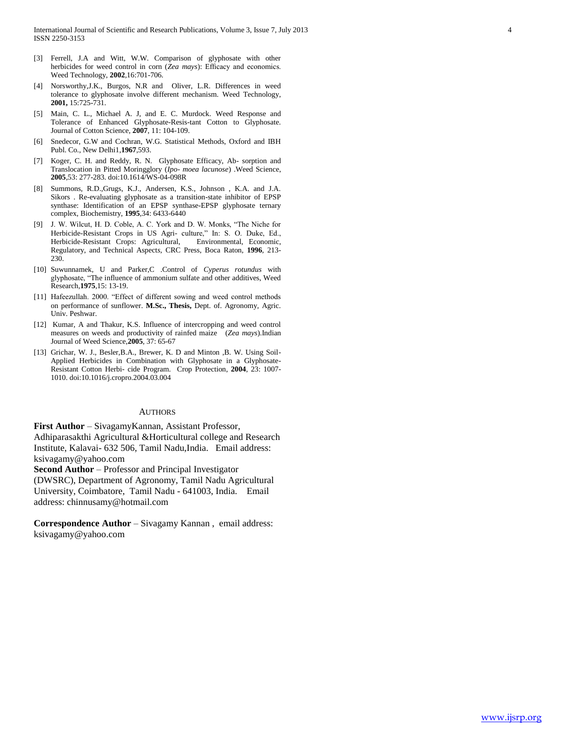- [3] Ferrell, J.A and Witt, W.W. Comparison of glyphosate with other herbicides for weed control in corn (*Zea mays*): Efficacy and economics. Weed Technology*,* **2002**,16:701-706.
- [4] Norsworthy,J.K., Burgos, N.R and Oliver, L.R. Differences in weed tolerance to glyphosate involve different mechanism. Weed Technology, **2001,** 15:725-731.
- [5] Main, C. L., Michael A. J, and E. C. Murdock. Weed Response and Tolerance of Enhanced Glyphosate-Resis-tant Cotton to Glyphosate. Journal of Cotton Science, **2007**, 11: 104-109.
- [6] Snedecor, G.W and Cochran, W.G. Statistical Methods, Oxford and IBH Publ. Co., New Delhi1,**1967**,593.
- [7] Koger, C. H. and Reddy, R. N. Glyphosate Efficacy, Ab- sorption and Translocation in Pitted Moringglory (*Ipo- moea lacunose*) .Weed Science, **2005**,53: 277-283. doi:10.1614/WS-04-098R
- [8] Summons, R.D.,Grugs, K.J., Andersen, K.S., Johnson , K.A. and J.A. Sikors . Re-evaluating glyphosate as a transition-state inhibitor of EPSP synthase: Identification of an EPSP synthase-EPSP glyphosate ternary complex*,* Biochemistry, **1995**,34: 6433-6440
- [9] J. W. Wilcut, H. D. Coble, A. C. York and D. W. Monks, "The Niche for Herbicide-Resistant Crops in US Agri- culture," In: S. O. Duke, Ed., Herbicide-Resistant Crops: Agricultural, Environmental, Economic, Regulatory, and Technical Aspect*s*, CRC Press, Boca Raton, **1996**, 213- 230.
- [10] Suwunnamek, U and Parker,C .Control of *Cyperus rotundus* with glyphosate, "The influence of ammonium sulfate and other additives, Weed Research,**1975**,15: 13-19.
- [11] Hafeezullah. 2000. "Effect of different sowing and weed control methods on performance of sunflower. **M.Sc., Thesis,** Dept. of. Agronomy, Agric. Univ. Peshwar.
- [12] Kumar, A and Thakur, K.S. Influence of intercropping and weed control measures on weeds and productivity of rainfed maize (*Zea mays*).Indian Journal of Weed Science,**2005**, 37: 65-67
- [13] Grichar, W. J., Besler, B.A., Brewer, K. D and Minton , B. W. Using Soil-Applied Herbicides in Combination with Glyphosate in a Glyphosate-Resistant Cotton Herbi- cide Program. Crop Protection, **2004**, 23: 1007- 1010. doi:10.1016/j.cropro.2004.03.004

#### **AUTHORS**

**First Author** – SivagamyKannan, Assistant Professor, Adhiparasakthi Agricultural &Horticultural college and Research Institute, Kalavai- 632 506, Tamil Nadu,India. Email address: ksivagamy@yahoo.com

**Second Author** – Professor and Principal Investigator

(DWSRC), Department of Agronomy, Tamil Nadu Agricultural University, Coimbatore, Tamil Nadu - 641003, India. Email address: chinnusamy@hotmail.com

**Correspondence Author** – Sivagamy Kannan , email address: ksivagamy@yahoo.com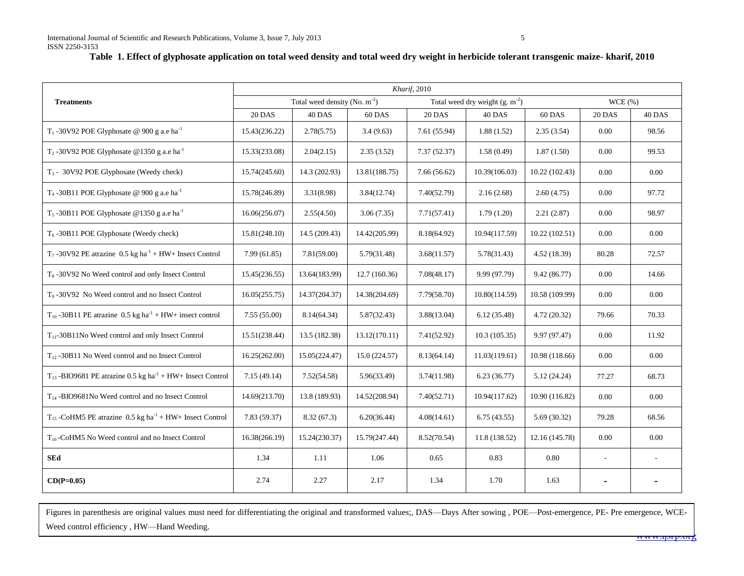|                                                                            | Kharif, 2010                              |               |               |                                     |               |                |                          |          |
|----------------------------------------------------------------------------|-------------------------------------------|---------------|---------------|-------------------------------------|---------------|----------------|--------------------------|----------|
| <b>Treatments</b>                                                          | Total weed density (No. m <sup>-2</sup> ) |               |               | Total weed dry weight $(g. m^{-2})$ |               | WCE(%)         |                          |          |
|                                                                            | <b>20 DAS</b>                             | 40 DAS        | 60 DAS        | <b>20 DAS</b>                       | 40 DAS        | 60 DAS         | <b>20 DAS</b>            | 40 DAS   |
| T <sub>1</sub> -30V92 POE Glyphosate @ 900 g a.e ha <sup>-1</sup>          | 15.43(236.22)                             | 2.78(5.75)    | 3.4(9.63)     | 7.61(55.94)                         | 1.88(1.52)    | 2.35(3.54)     | 0.00                     | 98.56    |
| $T_2$ -30V92 POE Glyphosate @1350 g a.e ha <sup>-1</sup>                   | 15.33(233.08)                             | 2.04(2.15)    | 2.35(3.52)    | 7.37(52.37)                         | 1.58(0.49)    | 1.87(1.50)     | 0.00                     | 99.53    |
| $T_3$ - 30V92 POE Glyphosate (Weedy check)                                 | 15.74(245.60)                             | 14.3 (202.93) | 13.81(188.75) | 7.66(56.62)                         | 10.39(106.03) | 10.22 (102.43) | 0.00                     | 0.00     |
| T <sub>4</sub> -30B11 POE Glyphosate @ 900 g a.e ha <sup>-1</sup>          | 15.78(246.89)                             | 3.31(8.98)    | 3.84(12.74)   | 7.40(52.79)                         | 2.16(2.68)    | 2.60(4.75)     | 0.00                     | 97.72    |
| T <sub>5</sub> -30B11 POE Glyphosate @1350 g a.e ha <sup>-1</sup>          | 16.06(256.07)                             | 2.55(4.50)    | 3.06(7.35)    | 7.71(57.41)                         | 1.79(1.20)    | 2.21(2.87)     | 0.00                     | 98.97    |
| $T_6$ -30B11 POE Glyphosate (Weedy check)                                  | 15.81(248.10)                             | 14.5 (209.43) | 14.42(205.99) | 8.18(64.92)                         | 10.94(117.59) | 10.22(102.51)  | 0.00                     | 0.00     |
| $T_7$ -30V92 PE atrazine 0.5 kg ha <sup>-1</sup> + HW+ Insect Control      | 7.99(61.85)                               | 7.81(59.00)   | 5.79(31.48)   | 3.68(11.57)                         | 5.78(31.43)   | 4.52 (18.39)   | 80.28                    | 72.57    |
| T <sub>8</sub> -30V92 No Weed control and only Insect Control              | 15.45(236.55)                             | 13.64(183.99) | 12.7(160.36)  | 7.08(48.17)                         | 9.99 (97.79)  | 9.42(86.77)    | 0.00                     | 14.66    |
| T <sub>9</sub> -30V92 No Weed control and no Insect Control                | 16.05(255.75)                             | 14.37(204.37) | 14.38(204.69) | 7.79(58.70)                         | 10.80(114.59) | 10.58 (109.99) | 0.00                     | $0.00\,$ |
| $T_{10}$ -30B11 PE atrazine 0.5 kg ha <sup>-1</sup> + HW+ insect control   | 7.55(55.00)                               | 8.14(64.34)   | 5.87(32.43)   | 3.88(13.04)                         | 6.12(35.48)   | 4.72(20.32)    | 79.66                    | 70.33    |
| $T_{11}$ -30B11No Weed control and only Insect Control                     | 15.51(238.44)                             | 13.5 (182.38) | 13.12(170.11) | 7.41(52.92)                         | 10.3(105.35)  | 9.97 (97.47)   | 0.00                     | 11.92    |
| $T_{12}$ -30B11 No Weed control and no Insect Control                      | 16.25(262.00)                             | 15.05(224.47) | 15.0(224.57)  | 8.13(64.14)                         | 11.03(119.61) | 10.98 (118.66) | 0.00                     | 0.00     |
| $T_{13}$ -BIO9681 PE atrazine 0.5 kg ha <sup>-1</sup> + HW+ Insect Control | 7.15(49.14)                               | 7.52(54.58)   | 5.96(33.49)   | 3.74(11.98)                         | 6.23(36.77)   | 5.12(24.24)    | 77.27                    | 68.73    |
| T <sub>14</sub> -BIO9681No Weed control and no Insect Control              | 14.69(213.70)                             | 13.8 (189.93) | 14.52(208.94) | 7.40(52.71)                         | 10.94(117.62) | 10.90 (116.82) | 0.00                     | 0.00     |
| $T_{15}$ -CoHM5 PE atrazine 0.5 kg ha <sup>-1</sup> + HW+ Insect Control   | 7.83(59.37)                               | 8.32(67.3)    | 6.20(36.44)   | 4.08(14.61)                         | 6.75(43.55)   | 5.69(30.32)    | 79.28                    | 68.56    |
| $T_{16}$ -CoHM5 No Weed control and no Insect Control                      | 16.38(266.19)                             | 15.24(230.37) | 15.79(247.44) | 8.52(70.54)                         | 11.8(138.52)  | 12.16 (145.78) | $0.00\,$                 | $0.00\,$ |
| <b>SEd</b>                                                                 | 1.34                                      | 1.11          | 1.06          | 0.65                                | 0.83          | 0.80           | $\overline{\phantom{a}}$ |          |
| $CD(P=0.05)$                                                               | 2.74                                      | 2.27          | 2.17          | 1.34                                | 1.70          | 1.63           |                          |          |

Figures in parenthesis are original values must need for differentiating the original and transformed values;, DAS—Days After sowing , POE—Post-emergence, PE- Pre emergence, WCE-Weed control efficiency , HW—Hand Weeding.

www.ijsrp.org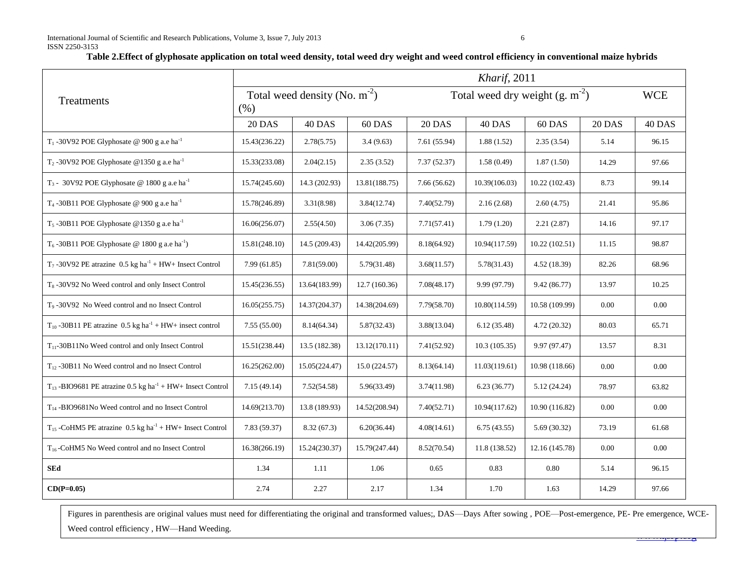## **Table 2.Effect of glyphosate application on total weed density, total weed dry weight and weed control efficiency in conventional maize hybrids**

|                                                                                  | Kharif, 2011                               |               |               |                                     |               |                |               |            |  |
|----------------------------------------------------------------------------------|--------------------------------------------|---------------|---------------|-------------------------------------|---------------|----------------|---------------|------------|--|
| Treatments                                                                       | Total weed density (No. $m^{-2}$ )<br>(% ) |               |               | Total weed dry weight $(g. m^{-2})$ |               |                |               | <b>WCE</b> |  |
|                                                                                  | 20 DAS                                     | 40 DAS        | 60 DAS        | 20 DAS                              | 40 DAS        | 60 DAS         | <b>20 DAS</b> | 40 DAS     |  |
| T <sub>1</sub> -30V92 POE Glyphosate @ 900 g a.e ha <sup>-1</sup>                | 15.43(236.22)                              | 2.78(5.75)    | 3.4(9.63)     | 7.61 (55.94)                        | 1.88(1.52)    | 2.35(3.54)     | 5.14          | 96.15      |  |
| T <sub>2</sub> -30V92 POE Glyphosate @1350 g a.e ha <sup>-1</sup>                | 15.33(233.08)                              | 2.04(2.15)    | 2.35(3.52)    | 7.37(52.37)                         | 1.58(0.49)    | 1.87(1.50)     | 14.29         | 97.66      |  |
| T <sub>3</sub> - 30V92 POE Glyphosate @ 1800 g a.e ha <sup>-1</sup>              | 15.74(245.60)                              | 14.3 (202.93) | 13.81(188.75) | 7.66(56.62)                         | 10.39(106.03) | 10.22(102.43)  | 8.73          | 99.14      |  |
| T <sub>4</sub> -30B11 POE Glyphosate @ 900 g a.e ha <sup>-1</sup>                | 15.78(246.89)                              | 3.31(8.98)    | 3.84(12.74)   | 7.40(52.79)                         | 2.16(2.68)    | 2.60(4.75)     | 21.41         | 95.86      |  |
| T <sub>5</sub> -30B11 POE Glyphosate @1350 g a.e ha <sup>-1</sup>                | 16.06(256.07)                              | 2.55(4.50)    | 3.06(7.35)    | 7.71(57.41)                         | 1.79(1.20)    | 2.21(2.87)     | 14.16         | 97.17      |  |
| T <sub>6</sub> -30B11 POE Glyphosate @ 1800 g a.e ha <sup>-1</sup> )             | 15.81(248.10)                              | 14.5 (209.43) | 14.42(205.99) | 8.18(64.92)                         | 10.94(117.59) | 10.22(102.51)  | 11.15         | 98.87      |  |
| T <sub>7</sub> -30V92 PE atrazine $0.5$ kg ha <sup>-1</sup> + HW+ Insect Control | 7.99(61.85)                                | 7.81(59.00)   | 5.79(31.48)   | 3.68(11.57)                         | 5.78(31.43)   | 4.52(18.39)    | 82.26         | 68.96      |  |
| T <sub>8</sub> -30V92 No Weed control and only Insect Control                    | 15.45(236.55)                              | 13.64(183.99) | 12.7(160.36)  | 7.08(48.17)                         | 9.99 (97.79)  | 9.42 (86.77)   | 13.97         | 10.25      |  |
| T <sub>9</sub> -30V92 No Weed control and no Insect Control                      | 16.05(255.75)                              | 14.37(204.37) | 14.38(204.69) | 7.79(58.70)                         | 10.80(114.59) | 10.58 (109.99) | 0.00          | 0.00       |  |
| $T_{10}$ -30B11 PE atrazine 0.5 kg ha <sup>-1</sup> + HW+ insect control         | 7.55(55.00)                                | 8.14(64.34)   | 5.87(32.43)   | 3.88(13.04)                         | 6.12(35.48)   | 4.72(20.32)    | 80.03         | 65.71      |  |
| $T_{11}$ -30B11No Weed control and only Insect Control                           | 15.51(238.44)                              | 13.5 (182.38) | 13.12(170.11) | 7.41(52.92)                         | 10.3(105.35)  | 9.97 (97.47)   | 13.57         | 8.31       |  |
| $T_{12}$ -30B11 No Weed control and no Insect Control                            | 16.25(262.00)                              | 15.05(224.47) | 15.0(224.57)  | 8.13(64.14)                         | 11.03(119.61) | 10.98 (118.66) | 0.00          | 0.00       |  |
| $T_{13}$ -BIO9681 PE atrazine 0.5 kg ha <sup>-1</sup> + HW+ Insect Control       | 7.15(49.14)                                | 7.52(54.58)   | 5.96(33.49)   | 3.74(11.98)                         | 6.23(36.77)   | 5.12(24.24)    | 78.97         | 63.82      |  |
| $T_{14}$ -BIO9681No Weed control and no Insect Control                           | 14.69(213.70)                              | 13.8 (189.93) | 14.52(208.94) | 7.40(52.71)                         | 10.94(117.62) | 10.90 (116.82) | $0.00\,$      | $0.00\,$   |  |
| $T_{15}$ -CoHM5 PE atrazine 0.5 kg ha <sup>-1</sup> + HW+ Insect Control         | 7.83(59.37)                                | 8.32(67.3)    | 6.20(36.44)   | 4.08(14.61)                         | 6.75(43.55)   | 5.69(30.32)    | 73.19         | 61.68      |  |
| $T_{16}$ -CoHM5 No Weed control and no Insect Control                            | 16.38(266.19)                              | 15.24(230.37) | 15.79(247.44) | 8.52(70.54)                         | 11.8 (138.52) | 12.16 (145.78) | $0.00\,$      | $0.00\,$   |  |
| <b>SEd</b>                                                                       | 1.34                                       | $1.11$        | 1.06          | 0.65                                | 0.83          | $0.80\,$       | 5.14          | 96.15      |  |
| $CD(P=0.05)$                                                                     | 2.74                                       | 2.27          | 2.17          | 1.34                                | 1.70          | 1.63           | 14.29         | 97.66      |  |

www.iprorg Figures in parenthesis are original values must need for differentiating the original and transformed values;, DAS—Days After sowing , POE—Post-emergence, PE- Pre emergence, WCE-Weed control efficiency , HW—Hand Weeding.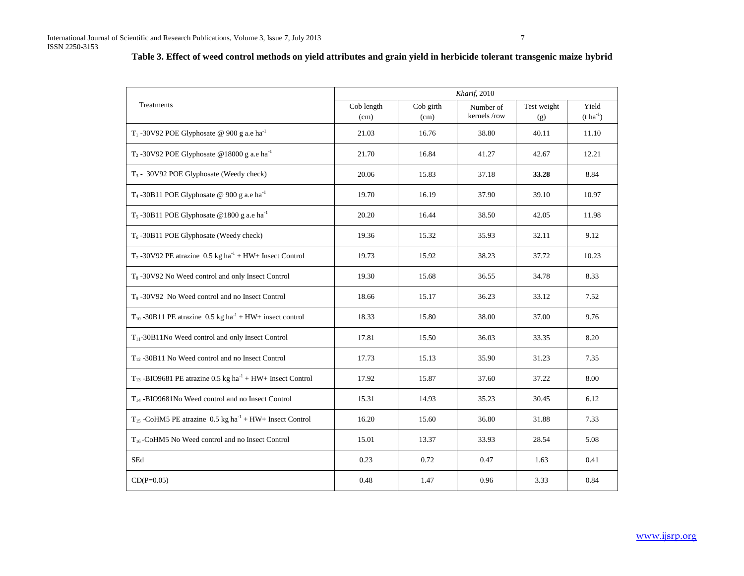# **Table 3. Effect of weed control methods on yield attributes and grain yield in herbicide tolerant transgenic maize hybrid**

|                                                                                  | Kharif, 2010       |                   |                          |                    |                           |  |  |
|----------------------------------------------------------------------------------|--------------------|-------------------|--------------------------|--------------------|---------------------------|--|--|
| Treatments                                                                       | Cob length<br>(cm) | Cob girth<br>(cm) | Number of<br>kernels/row | Test weight<br>(g) | Yield<br>$(t \, ha^{-1})$ |  |  |
| T <sub>1</sub> -30V92 POE Glyphosate @ 900 g a.e ha <sup>-1</sup>                | 21.03              | 16.76             | 38.80                    | 40.11              | 11.10                     |  |  |
| T <sub>2</sub> -30V92 POE Glyphosate @18000 g a.e ha <sup>-1</sup>               | 21.70              | 16.84             | 41.27                    | 42.67              | 12.21                     |  |  |
| T <sub>3</sub> - 30V92 POE Glyphosate (Weedy check)                              | 20.06              | 15.83             | 37.18                    | 33.28              | 8.84                      |  |  |
| T <sub>4</sub> -30B11 POE Glyphosate @ 900 g a.e ha <sup>-1</sup>                | 19.70              | 16.19             | 37.90                    | 39.10              | 10.97                     |  |  |
| T <sub>5</sub> -30B11 POE Glyphosate @1800 g a.e ha <sup>-1</sup>                | 20.20              | 16.44             | 38.50                    | 42.05              | 11.98                     |  |  |
| T <sub>6</sub> -30B11 POE Glyphosate (Weedy check)                               | 19.36              | 15.32             | 35.93                    | 32.11              | 9.12                      |  |  |
| T <sub>7</sub> -30V92 PE atrazine $0.5$ kg ha <sup>-1</sup> + HW+ Insect Control | 19.73              | 15.92             | 38.23                    | 37.72              | 10.23                     |  |  |
| T <sub>8</sub> -30V92 No Weed control and only Insect Control                    | 19.30              | 15.68             | 36.55                    | 34.78              | 8.33                      |  |  |
| T <sub>9</sub> -30V92 No Weed control and no Insect Control                      | 18.66              | 15.17             | 36.23                    | 33.12              | 7.52                      |  |  |
| $T_{10}$ -30B11 PE atrazine 0.5 kg ha <sup>-1</sup> + HW+ insect control         | 18.33              | 15.80             | 38.00                    | 37.00              | 9.76                      |  |  |
| $T_{11}$ -30B11No Weed control and only Insect Control                           | 17.81              | 15.50             | 36.03                    | 33.35              | 8.20                      |  |  |
| $T_{12}$ -30B11 No Weed control and no Insect Control                            | 17.73              | 15.13             | 35.90                    | 31.23              | 7.35                      |  |  |
| $T_{13}$ -BIO9681 PE atrazine 0.5 kg ha <sup>-1</sup> + HW+ Insect Control       | 17.92              | 15.87             | 37.60                    | 37.22              | 8.00                      |  |  |
| $T_{14}$ -BIO9681No Weed control and no Insect Control                           | 15.31              | 14.93             | 35.23                    | 30.45              | 6.12                      |  |  |
| $T_{15}$ -CoHM5 PE atrazine 0.5 kg ha <sup>-1</sup> + HW+ Insect Control         | 16.20              | 15.60             | 36.80                    | 31.88              | 7.33                      |  |  |
| T <sub>16</sub> -CoHM5 No Weed control and no Insect Control                     | 15.01              | 13.37             | 33.93                    | 28.54              | 5.08                      |  |  |
| SEd                                                                              | 0.23               | 0.72              | 0.47                     | 1.63               | 0.41                      |  |  |
| $CD(P=0.05)$                                                                     | 0.48               | 1.47              | 0.96                     | 3.33               | 0.84                      |  |  |

www.ijsrp.org